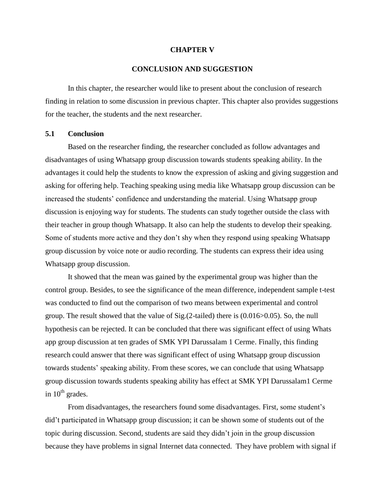### **CHAPTER V**

# **CONCLUSION AND SUGGESTION**

In this chapter, the researcher would like to present about the conclusion of research finding in relation to some discussion in previous chapter. This chapter also provides suggestions for the teacher, the students and the next researcher.

#### **5.1 Conclusion**

Based on the researcher finding, the researcher concluded as follow advantages and disadvantages of using Whatsapp group discussion towards students speaking ability. In the advantages it could help the students to know the expression of asking and giving suggestion and asking for offering help. Teaching speaking using media like Whatsapp group discussion can be increased the students' confidence and understanding the material. Using Whatsapp group discussion is enjoying way for students. The students can study together outside the class with their teacher in group though Whatsapp. It also can help the students to develop their speaking. Some of students more active and they don't shy when they respond using speaking Whatsapp group discussion by voice note or audio recording. The students can express their idea using Whatsapp group discussion.

It showed that the mean was gained by the experimental group was higher than the control group. Besides, to see the significance of the mean difference, independent sample t-test was conducted to find out the comparison of two means between experimental and control group. The result showed that the value of Sig.(2-tailed) there is (0.016>0.05). So, the null hypothesis can be rejected. It can be concluded that there was significant effect of using Whats app group discussion at ten grades of SMK YPI Darussalam 1 Cerme. Finally, this finding research could answer that there was significant effect of using Whatsapp group discussion towards students' speaking ability. From these scores, we can conclude that using Whatsapp group discussion towards students speaking ability has effect at SMK YPI Darussalam1 Cerme in  $10^{th}$  grades.

From disadvantages, the researchers found some disadvantages. First, some student's did't participated in Whatsapp group discussion; it can be shown some of students out of the topic during discussion. Second, students are said they didn't join in the group discussion because they have problems in signal Internet data connected. They have problem with signal if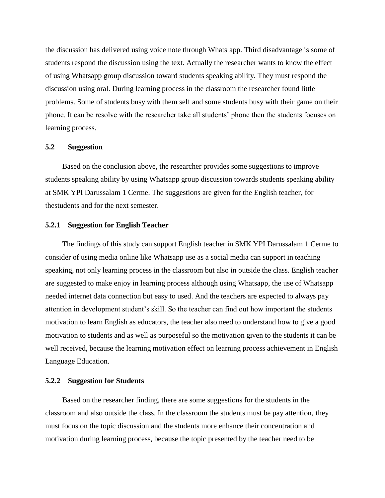the discussion has delivered using voice note through Whats app. Third disadvantage is some of students respond the discussion using the text. Actually the researcher wants to know the effect of using Whatsapp group discussion toward students speaking ability. They must respond the discussion using oral. During learning process in the classroom the researcher found little problems. Some of students busy with them self and some students busy with their game on their phone. It can be resolve with the researcher take all students' phone then the students focuses on learning process.

### **5.2 Suggestion**

Based on the conclusion above, the researcher provides some suggestions to improve students speaking ability by using Whatsapp group discussion towards students speaking ability at SMK YPI Darussalam 1 Cerme. The suggestions are given for the English teacher, for thestudents and for the next semester.

# **5.2.1 Suggestion for English Teacher**

The findings of this study can support English teacher in SMK YPI Darussalam 1 Cerme to consider of using media online like Whatsapp use as a social media can support in teaching speaking, not only learning process in the classroom but also in outside the class. English teacher are suggested to make enjoy in learning process although using Whatsapp, the use of Whatsapp needed internet data connection but easy to used. And the teachers are expected to always pay attention in development student's skill. So the teacher can find out how important the students motivation to learn English as educators, the teacher also need to understand how to give a good motivation to students and as well as purposeful so the motivation given to the students it can be well received, because the learning motivation effect on learning process achievement in English Language Education.

# **5.2.2 Suggestion for Students**

Based on the researcher finding, there are some suggestions for the students in the classroom and also outside the class. In the classroom the students must be pay attention, they must focus on the topic discussion and the students more enhance their concentration and motivation during learning process, because the topic presented by the teacher need to be